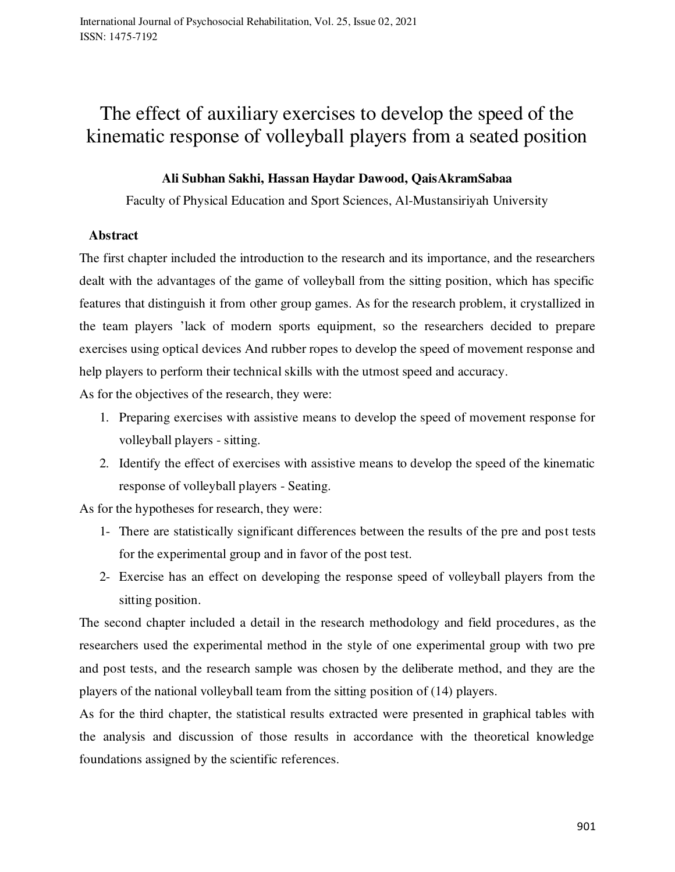# The effect of auxiliary exercises to develop the speed of the kinematic response of volleyball players from a seated position

#### **Ali Subhan Sakhi, Hassan Haydar Dawood, QaisAkramSabaa**

Faculty of Physical Education and Sport Sciences, Al-Mustansiriyah University

#### **Abstract**

The first chapter included the introduction to the research and its importance, and the researchers dealt with the advantages of the game of volleyball from the sitting position, which has specific features that distinguish it from other group games. As for the research problem, it crystallized in the team players 'lack of modern sports equipment, so the researchers decided to prepare exercises using optical devices And rubber ropes to develop the speed of movement response and help players to perform their technical skills with the utmost speed and accuracy.

As for the objectives of the research, they were:

- 1. Preparing exercises with assistive means to develop the speed of movement response for volleyball players - sitting.
- 2. Identify the effect of exercises with assistive means to develop the speed of the kinematic response of volleyball players - Seating.

As for the hypotheses for research, they were:

- 1- There are statistically significant differences between the results of the pre and post tests for the experimental group and in favor of the post test.
- 2- Exercise has an effect on developing the response speed of volleyball players from the sitting position.

The second chapter included a detail in the research methodology and field procedures, as the researchers used the experimental method in the style of one experimental group with two pre and post tests, and the research sample was chosen by the deliberate method, and they are the players of the national volleyball team from the sitting position of (14) players.

As for the third chapter, the statistical results extracted were presented in graphical tables with the analysis and discussion of those results in accordance with the theoretical knowledge foundations assigned by the scientific references.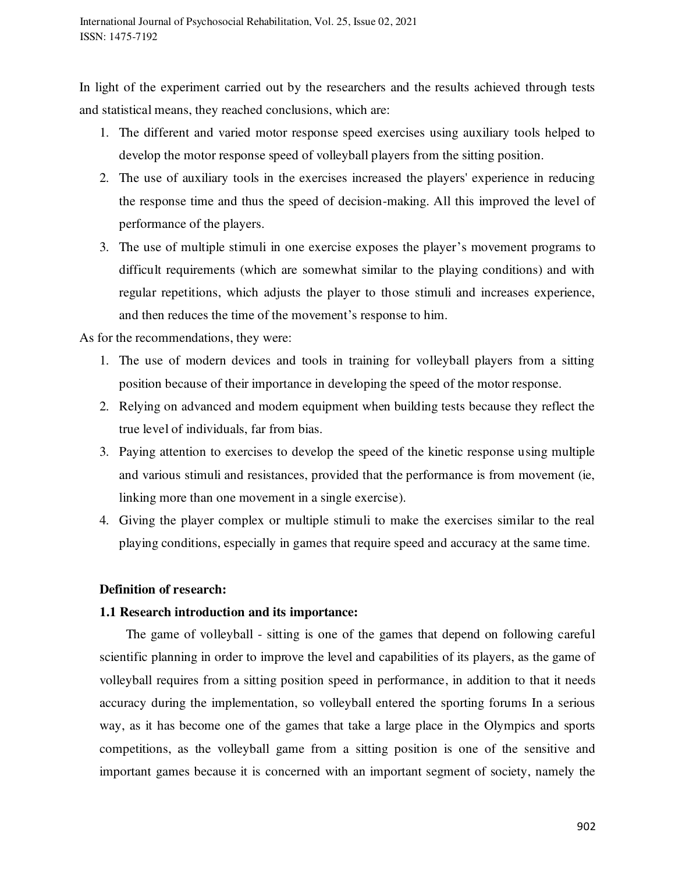In light of the experiment carried out by the researchers and the results achieved through tests and statistical means, they reached conclusions, which are:

- 1. The different and varied motor response speed exercises using auxiliary tools helped to develop the motor response speed of volleyball players from the sitting position.
- 2. The use of auxiliary tools in the exercises increased the players' experience in reducing the response time and thus the speed of decision-making. All this improved the level of performance of the players.
- 3. The use of multiple stimuli in one exercise exposes the player's movement programs to difficult requirements (which are somewhat similar to the playing conditions) and with regular repetitions, which adjusts the player to those stimuli and increases experience, and then reduces the time of the movement's response to him.

As for the recommendations, they were:

- 1. The use of modern devices and tools in training for volleyball players from a sitting position because of their importance in developing the speed of the motor response.
- 2. Relying on advanced and modern equipment when building tests because they reflect the true level of individuals, far from bias.
- 3. Paying attention to exercises to develop the speed of the kinetic response using multiple and various stimuli and resistances, provided that the performance is from movement (ie, linking more than one movement in a single exercise).
- 4. Giving the player complex or multiple stimuli to make the exercises similar to the real playing conditions, especially in games that require speed and accuracy at the same time.

## **Definition of research:**

#### **1.1 Research introduction and its importance:**

 The game of volleyball - sitting is one of the games that depend on following careful scientific planning in order to improve the level and capabilities of its players, as the game of volleyball requires from a sitting position speed in performance, in addition to that it needs accuracy during the implementation, so volleyball entered the sporting forums In a serious way, as it has become one of the games that take a large place in the Olympics and sports competitions, as the volleyball game from a sitting position is one of the sensitive and important games because it is concerned with an important segment of society, namely the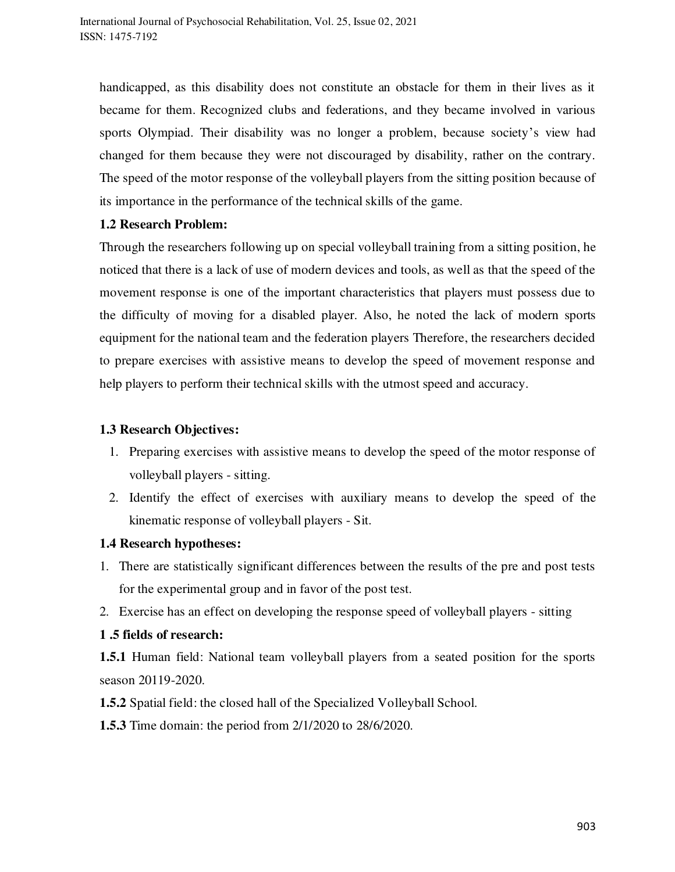handicapped, as this disability does not constitute an obstacle for them in their lives as it became for them. Recognized clubs and federations, and they became involved in various sports Olympiad. Their disability was no longer a problem, because society's view had changed for them because they were not discouraged by disability, rather on the contrary. The speed of the motor response of the volleyball players from the sitting position because of its importance in the performance of the technical skills of the game.

## **1.2 Research Problem:**

Through the researchers following up on special volleyball training from a sitting position, he noticed that there is a lack of use of modern devices and tools, as well as that the speed of the movement response is one of the important characteristics that players must possess due to the difficulty of moving for a disabled player. Also, he noted the lack of modern sports equipment for the national team and the federation players Therefore, the researchers decided to prepare exercises with assistive means to develop the speed of movement response and help players to perform their technical skills with the utmost speed and accuracy.

## **1.3 Research Objectives:**

- 1. Preparing exercises with assistive means to develop the speed of the motor response of volleyball players - sitting.
- 2. Identify the effect of exercises with auxiliary means to develop the speed of the kinematic response of volleyball players - Sit.

## **1.4 Research hypotheses:**

- 1. There are statistically significant differences between the results of the pre and post tests for the experimental group and in favor of the post test.
- 2. Exercise has an effect on developing the response speed of volleyball players sitting

#### **1 .5 fields of research:**

**1.5.1** Human field: National team volleyball players from a seated position for the sports season 20119-2020.

**1.5.2** Spatial field: the closed hall of the Specialized Volleyball School.

**1.5.3** Time domain: the period from 2/1/2020 to 28/6/2020.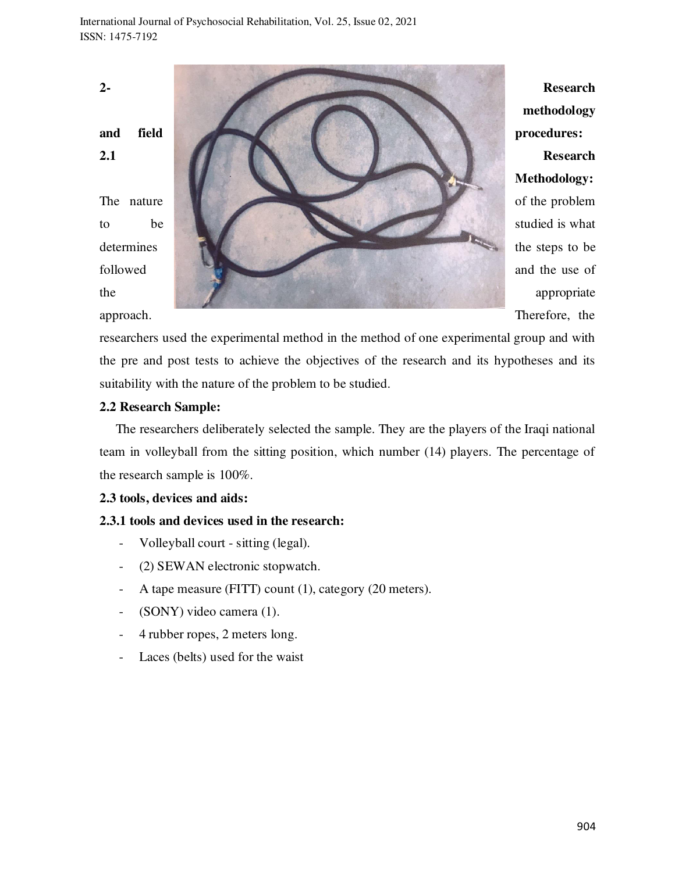**2- Research methodology**  and field **procedures: procedures: 2.1** Research **Methodology:**  The nature of the problem to be studied is what determines the steps to be the steps to be followed and the use of the appropriate appropriate appropriate

approach. Therefore, the

researchers used the experimental method in the method of one experimental group and with the pre and post tests to achieve the objectives of the research and its hypotheses and its suitability with the nature of the problem to be studied.

## **2.2 Research Sample:**

 The researchers deliberately selected the sample. They are the players of the Iraqi national team in volleyball from the sitting position, which number (14) players. The percentage of the research sample is 100%.

#### **2.3 tools, devices and aids:**

## **2.3.1 tools and devices used in the research:**

- Volleyball court sitting (legal).
- (2) SEWAN electronic stopwatch.
- A tape measure (FITT) count (1), category (20 meters).
- (SONY) video camera (1).
- 4 rubber ropes, 2 meters long.
- Laces (belts) used for the waist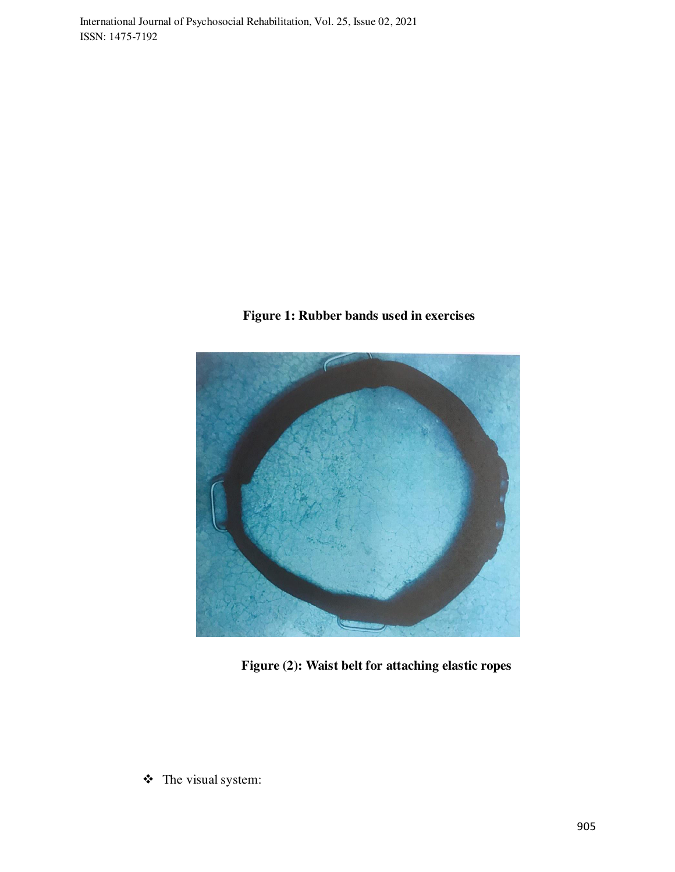## **Figure 1: Rubber bands used in exercises**



**Figure (2): Waist belt for attaching elastic ropes** 

The visual system: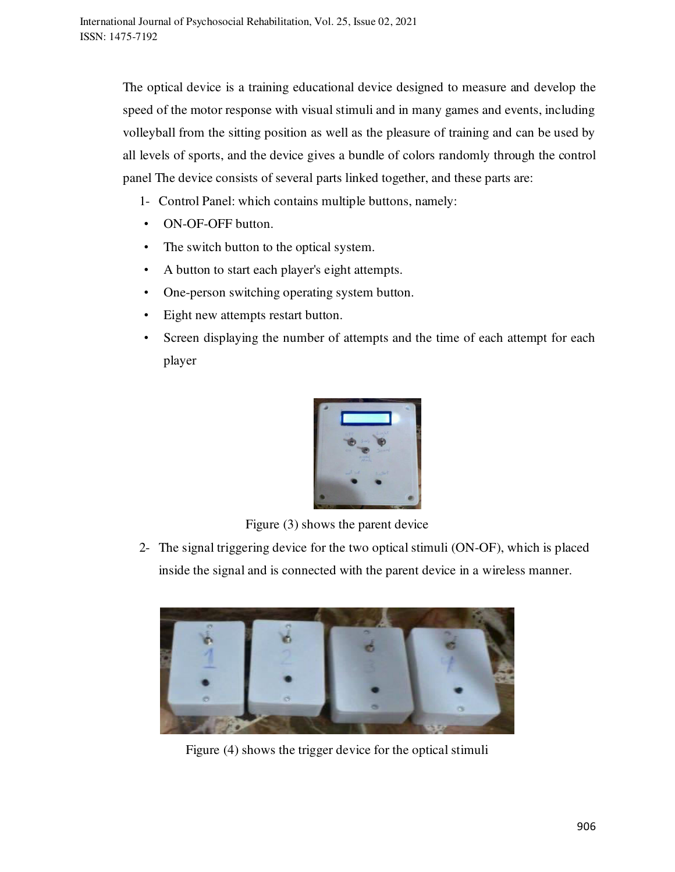The optical device is a training educational device designed to measure and develop the speed of the motor response with visual stimuli and in many games and events, including volleyball from the sitting position as well as the pleasure of training and can be used by all levels of sports, and the device gives a bundle of colors randomly through the control panel The device consists of several parts linked together, and these parts are:

- 1- Control Panel: which contains multiple buttons, namely:
- ON-OF-OFF button.
- The switch button to the optical system.
- A button to start each player's eight attempts.
- One-person switching operating system button.
- Eight new attempts restart button.
- Screen displaying the number of attempts and the time of each attempt for each player



Figure (3) shows the parent device

2- The signal triggering device for the two optical stimuli (ON-OF), which is placed inside the signal and is connected with the parent device in a wireless manner.



Figure (4) shows the trigger device for the optical stimuli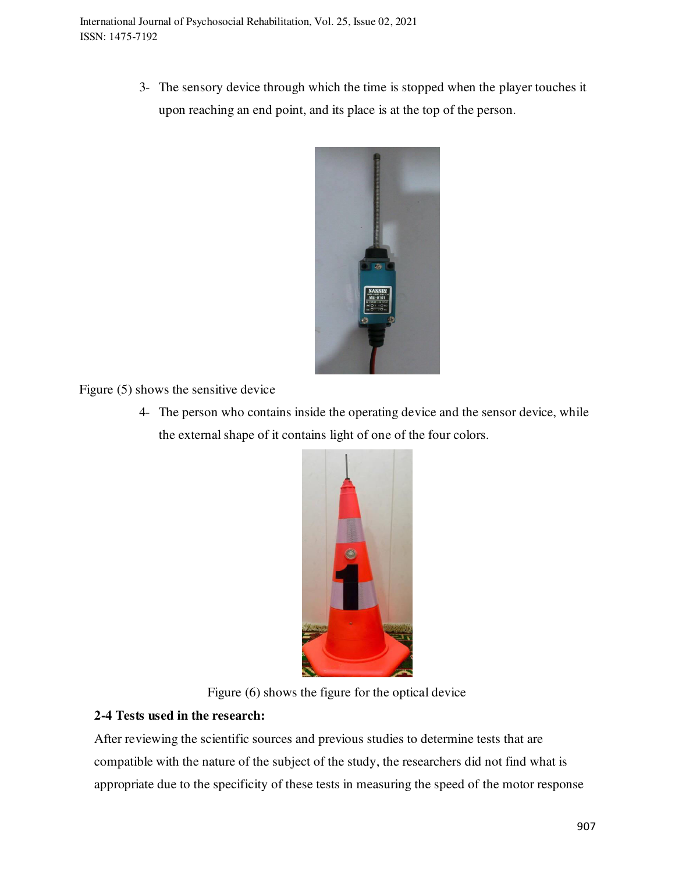3- The sensory device through which the time is stopped when the player touches it upon reaching an end point, and its place is at the top of the person.



Figure (5) shows the sensitive device

4- The person who contains inside the operating device and the sensor device, while the external shape of it contains light of one of the four colors.



Figure (6) shows the figure for the optical device

## **2-4 Tests used in the research:**

After reviewing the scientific sources and previous studies to determine tests that are compatible with the nature of the subject of the study, the researchers did not find what is appropriate due to the specificity of these tests in measuring the speed of the motor response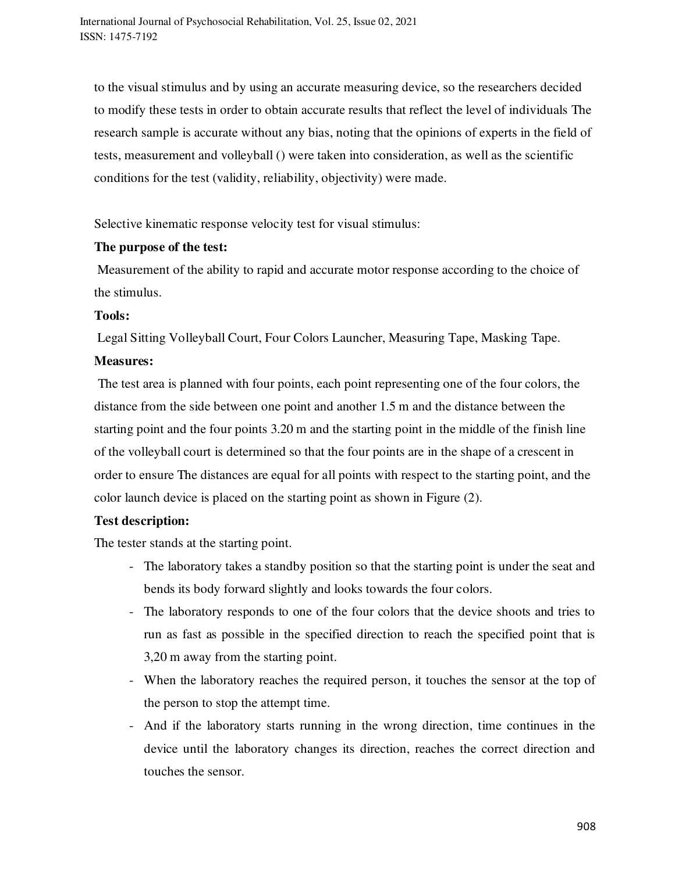to the visual stimulus and by using an accurate measuring device, so the researchers decided to modify these tests in order to obtain accurate results that reflect the level of individuals The research sample is accurate without any bias, noting that the opinions of experts in the field of tests, measurement and volleyball () were taken into consideration, as well as the scientific conditions for the test (validity, reliability, objectivity) were made.

Selective kinematic response velocity test for visual stimulus:

## **The purpose of the test:**

 Measurement of the ability to rapid and accurate motor response according to the choice of the stimulus.

## **Tools:**

Legal Sitting Volleyball Court, Four Colors Launcher, Measuring Tape, Masking Tape.

## **Measures:**

 The test area is planned with four points, each point representing one of the four colors, the distance from the side between one point and another 1.5 m and the distance between the starting point and the four points 3.20 m and the starting point in the middle of the finish line of the volleyball court is determined so that the four points are in the shape of a crescent in order to ensure The distances are equal for all points with respect to the starting point, and the color launch device is placed on the starting point as shown in Figure (2).

## **Test description:**

The tester stands at the starting point.

- The laboratory takes a standby position so that the starting point is under the seat and bends its body forward slightly and looks towards the four colors.
- The laboratory responds to one of the four colors that the device shoots and tries to run as fast as possible in the specified direction to reach the specified point that is 3,20 m away from the starting point.
- When the laboratory reaches the required person, it touches the sensor at the top of the person to stop the attempt time.
- And if the laboratory starts running in the wrong direction, time continues in the device until the laboratory changes its direction, reaches the correct direction and touches the sensor.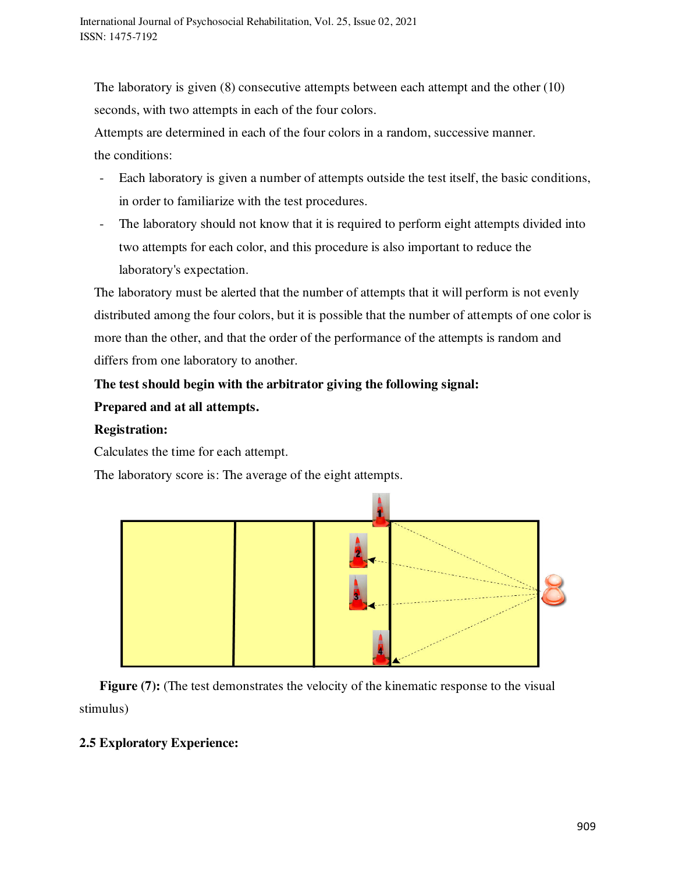The laboratory is given (8) consecutive attempts between each attempt and the other (10) seconds, with two attempts in each of the four colors.

Attempts are determined in each of the four colors in a random, successive manner. the conditions:

- Each laboratory is given a number of attempts outside the test itself, the basic conditions, in order to familiarize with the test procedures.
- The laboratory should not know that it is required to perform eight attempts divided into two attempts for each color, and this procedure is also important to reduce the laboratory's expectation.

The laboratory must be alerted that the number of attempts that it will perform is not evenly distributed among the four colors, but it is possible that the number of attempts of one color is more than the other, and that the order of the performance of the attempts is random and differs from one laboratory to another.

## **The test should begin with the arbitrator giving the following signal: Prepared and at all attempts.**

## **Registration:**

Calculates the time for each attempt.

The laboratory score is: The average of the eight attempts.



**Figure (7):** (The test demonstrates the velocity of the kinematic response to the visual stimulus)

## **2.5 Exploratory Experience:**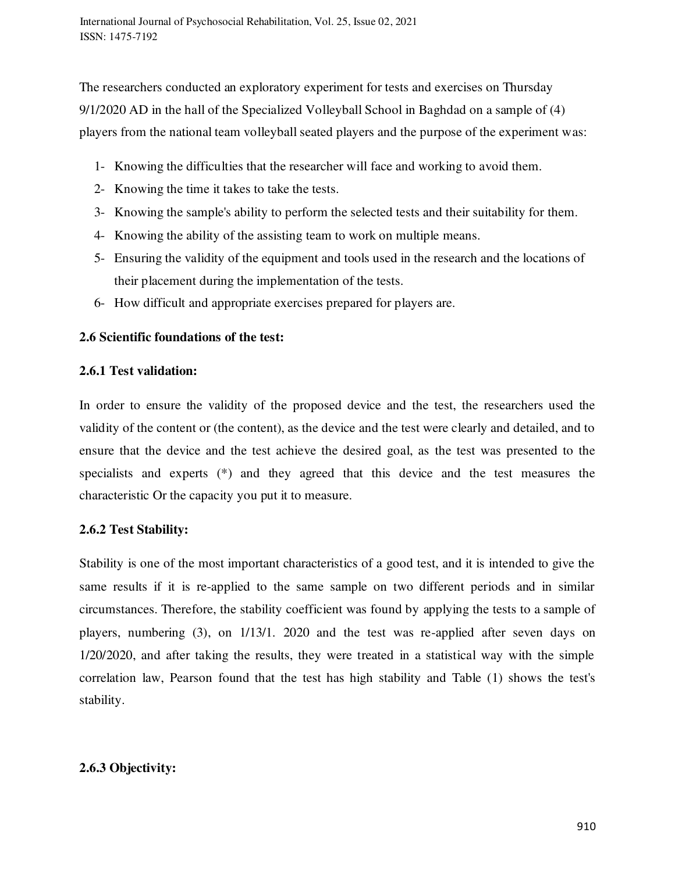The researchers conducted an exploratory experiment for tests and exercises on Thursday 9/1/2020 AD in the hall of the Specialized Volleyball School in Baghdad on a sample of (4) players from the national team volleyball seated players and the purpose of the experiment was:

- 1- Knowing the difficulties that the researcher will face and working to avoid them.
- 2- Knowing the time it takes to take the tests.
- 3- Knowing the sample's ability to perform the selected tests and their suitability for them.
- 4- Knowing the ability of the assisting team to work on multiple means.
- 5- Ensuring the validity of the equipment and tools used in the research and the locations of their placement during the implementation of the tests.
- 6- How difficult and appropriate exercises prepared for players are.

#### **2.6 Scientific foundations of the test:**

#### **2.6.1 Test validation:**

In order to ensure the validity of the proposed device and the test, the researchers used the validity of the content or (the content), as the device and the test were clearly and detailed, and to ensure that the device and the test achieve the desired goal, as the test was presented to the specialists and experts (\*) and they agreed that this device and the test measures the characteristic Or the capacity you put it to measure.

#### **2.6.2 Test Stability:**

Stability is one of the most important characteristics of a good test, and it is intended to give the same results if it is re-applied to the same sample on two different periods and in similar circumstances. Therefore, the stability coefficient was found by applying the tests to a sample of players, numbering (3), on 1/13/1. 2020 and the test was re-applied after seven days on 1/20/2020, and after taking the results, they were treated in a statistical way with the simple correlation law, Pearson found that the test has high stability and Table (1) shows the test's stability.

#### **2.6.3 Objectivity:**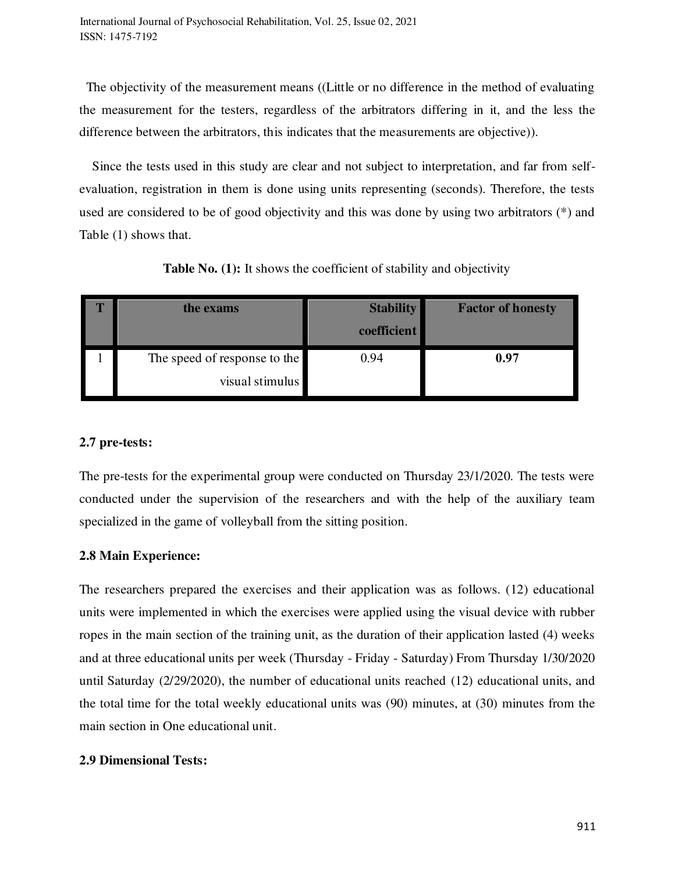The objectivity of the measurement means ((Little or no difference in the method of evaluating the measurement for the testers, regardless of the arbitrators differing in it, and the less the difference between the arbitrators, this indicates that the measurements are objective)).

 Since the tests used in this study are clear and not subject to interpretation, and far from selfevaluation, registration in them is done using units representing (seconds). Therefore, the tests used are considered to be of good objectivity and this was done by using two arbitrators (\*) and Table (1) shows that.

| the exams                    | <b>Stability</b><br>coefficient | <b>Factor of honesty</b> |
|------------------------------|---------------------------------|--------------------------|
| The speed of response to the | 0.94                            | 0.97                     |
| visual stimulus              |                                 |                          |

**Table No. (1):** It shows the coefficient of stability and objectivity

## **2.7 pre-tests:**

The pre-tests for the experimental group were conducted on Thursday 23/1/2020. The tests were conducted under the supervision of the researchers and with the help of the auxiliary team specialized in the game of volleyball from the sitting position.

## **2.8 Main Experience:**

The researchers prepared the exercises and their application was as follows. (12) educational units were implemented in which the exercises were applied using the visual device with rubber ropes in the main section of the training unit, as the duration of their application lasted (4) weeks and at three educational units per week (Thursday - Friday - Saturday) From Thursday 1/30/2020 until Saturday (2/29/2020), the number of educational units reached (12) educational units, and the total time for the total weekly educational units was (90) minutes, at (30) minutes from the main section in One educational unit.

## **2.9 Dimensional Tests:**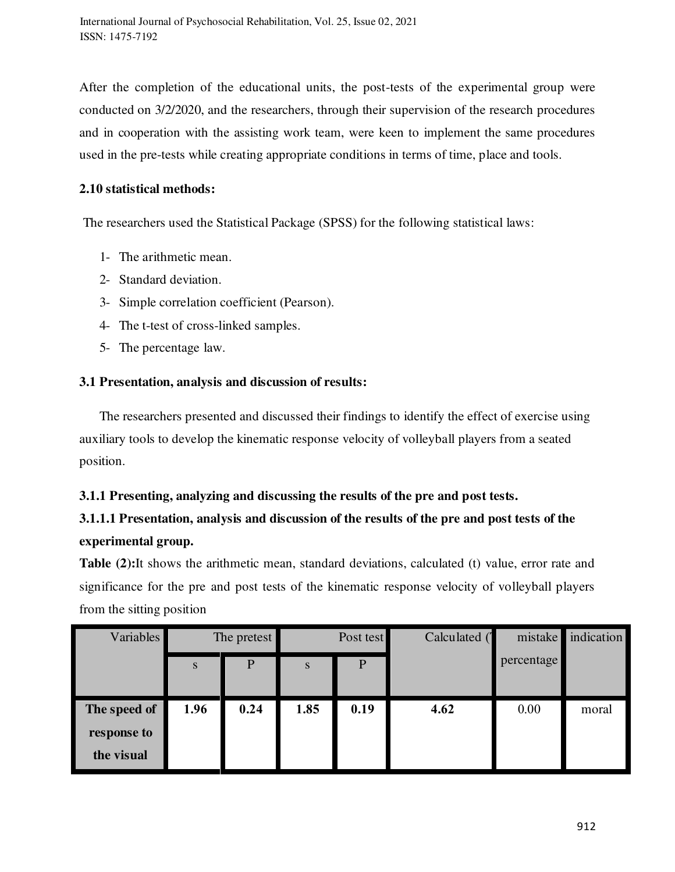After the completion of the educational units, the post-tests of the experimental group were conducted on 3/2/2020, and the researchers, through their supervision of the research procedures and in cooperation with the assisting work team, were keen to implement the same procedures used in the pre-tests while creating appropriate conditions in terms of time, place and tools.

## **2.10 statistical methods:**

The researchers used the Statistical Package (SPSS) for the following statistical laws:

- 1- The arithmetic mean.
- 2- Standard deviation.
- 3- Simple correlation coefficient (Pearson).
- 4- The t-test of cross-linked samples.
- 5- The percentage law.

## **3.1 Presentation, analysis and discussion of results:**

 The researchers presented and discussed their findings to identify the effect of exercise using auxiliary tools to develop the kinematic response velocity of volleyball players from a seated position.

## **3.1.1 Presenting, analyzing and discussing the results of the pre and post tests.**

## **3.1.1.1 Presentation, analysis and discussion of the results of the pre and post tests of the experimental group.**

**Table (2):**It shows the arithmetic mean, standard deviations, calculated (t) value, error rate and significance for the pre and post tests of the kinematic response velocity of volleyball players from the sitting position

| <b>Variables</b> | The pretest |      | Post test |      | Calculated ( | mistake    | indication |
|------------------|-------------|------|-----------|------|--------------|------------|------------|
|                  | S           | P    | S         | P    |              | percentage |            |
|                  |             |      |           |      |              |            |            |
| The speed of     | 1.96        | 0.24 | 1.85      | 0.19 | 4.62         | 0.00       | moral      |
| response to      |             |      |           |      |              |            |            |
| the visual       |             |      |           |      |              |            |            |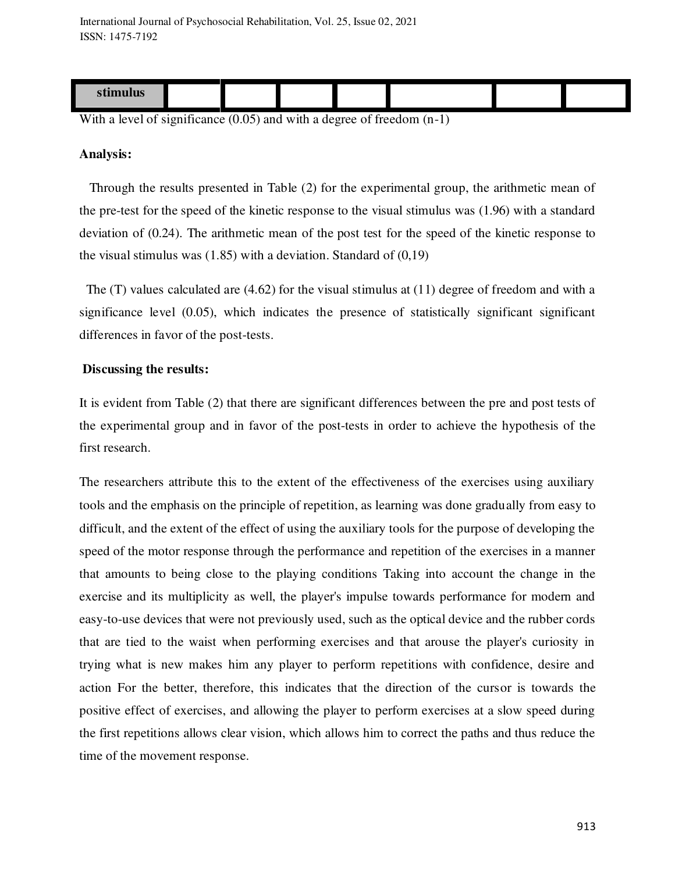| $\sim$ $\sim$<br><u>stimulus</u> |  |  |  |  |
|----------------------------------|--|--|--|--|

With a level of significance  $(0.05)$  and with a degree of freedom  $(n-1)$ 

#### **Analysis:**

 Through the results presented in Table (2) for the experimental group, the arithmetic mean of the pre-test for the speed of the kinetic response to the visual stimulus was (1.96) with a standard deviation of (0.24). The arithmetic mean of the post test for the speed of the kinetic response to the visual stimulus was  $(1.85)$  with a deviation. Standard of  $(0.19)$ 

 The (T) values calculated are (4.62) for the visual stimulus at (11) degree of freedom and with a significance level (0.05), which indicates the presence of statistically significant significant differences in favor of the post-tests.

#### **Discussing the results:**

It is evident from Table (2) that there are significant differences between the pre and post tests of the experimental group and in favor of the post-tests in order to achieve the hypothesis of the first research.

The researchers attribute this to the extent of the effectiveness of the exercises using auxiliary tools and the emphasis on the principle of repetition, as learning was done gradually from easy to difficult, and the extent of the effect of using the auxiliary tools for the purpose of developing the speed of the motor response through the performance and repetition of the exercises in a manner that amounts to being close to the playing conditions Taking into account the change in the exercise and its multiplicity as well, the player's impulse towards performance for modern and easy-to-use devices that were not previously used, such as the optical device and the rubber cords that are tied to the waist when performing exercises and that arouse the player's curiosity in trying what is new makes him any player to perform repetitions with confidence, desire and action For the better, therefore, this indicates that the direction of the cursor is towards the positive effect of exercises, and allowing the player to perform exercises at a slow speed during the first repetitions allows clear vision, which allows him to correct the paths and thus reduce the time of the movement response.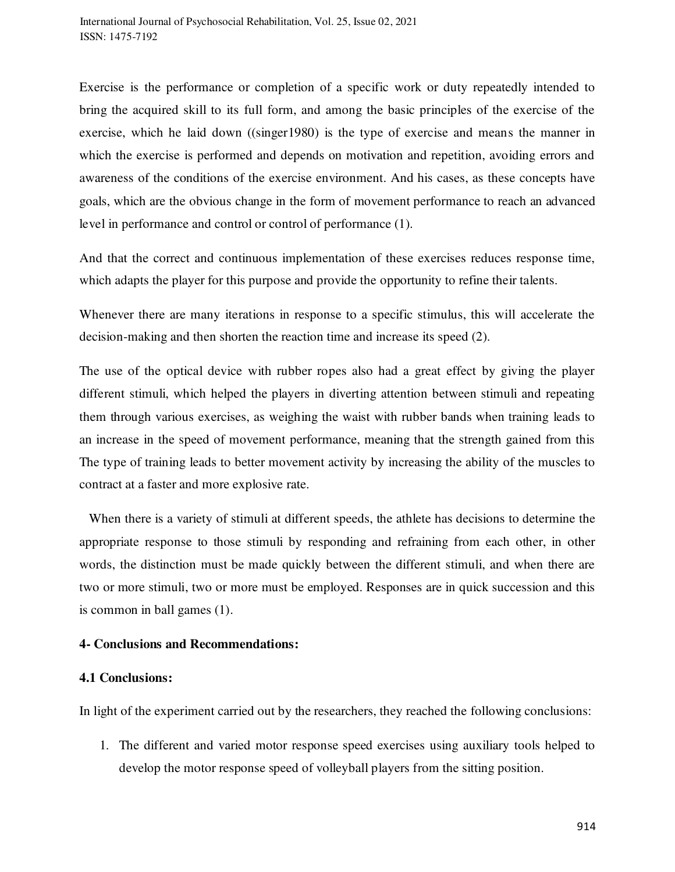Exercise is the performance or completion of a specific work or duty repeatedly intended to bring the acquired skill to its full form, and among the basic principles of the exercise of the exercise, which he laid down ((singer1980) is the type of exercise and means the manner in which the exercise is performed and depends on motivation and repetition, avoiding errors and awareness of the conditions of the exercise environment. And his cases, as these concepts have goals, which are the obvious change in the form of movement performance to reach an advanced level in performance and control or control of performance (1).

And that the correct and continuous implementation of these exercises reduces response time, which adapts the player for this purpose and provide the opportunity to refine their talents.

Whenever there are many iterations in response to a specific stimulus, this will accelerate the decision-making and then shorten the reaction time and increase its speed (2).

The use of the optical device with rubber ropes also had a great effect by giving the player different stimuli, which helped the players in diverting attention between stimuli and repeating them through various exercises, as weighing the waist with rubber bands when training leads to an increase in the speed of movement performance, meaning that the strength gained from this The type of training leads to better movement activity by increasing the ability of the muscles to contract at a faster and more explosive rate.

 When there is a variety of stimuli at different speeds, the athlete has decisions to determine the appropriate response to those stimuli by responding and refraining from each other, in other words, the distinction must be made quickly between the different stimuli, and when there are two or more stimuli, two or more must be employed. Responses are in quick succession and this is common in ball games (1).

#### **4- Conclusions and Recommendations:**

#### **4.1 Conclusions:**

In light of the experiment carried out by the researchers, they reached the following conclusions:

1. The different and varied motor response speed exercises using auxiliary tools helped to develop the motor response speed of volleyball players from the sitting position.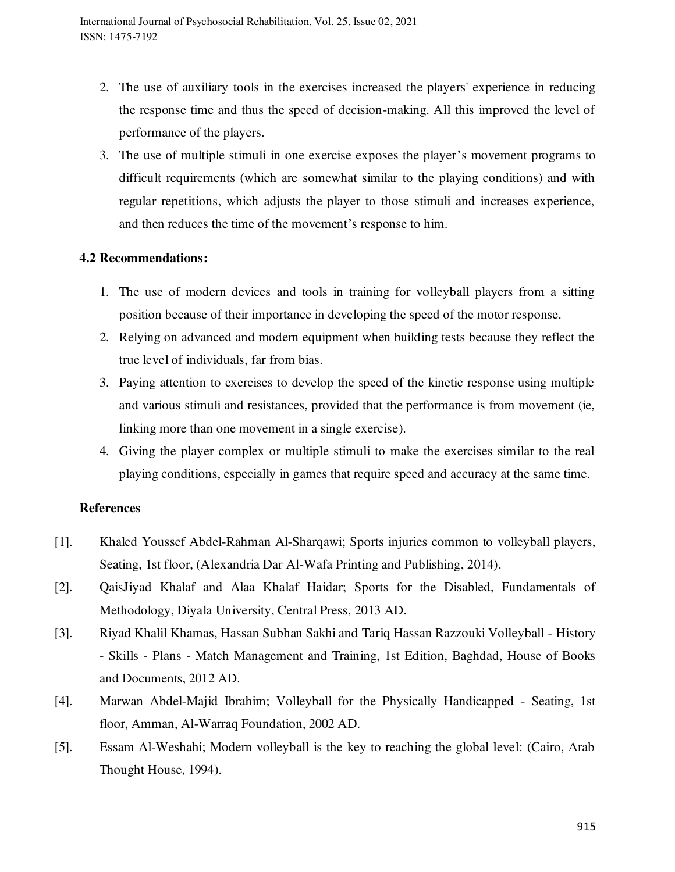- 2. The use of auxiliary tools in the exercises increased the players' experience in reducing the response time and thus the speed of decision-making. All this improved the level of performance of the players.
- 3. The use of multiple stimuli in one exercise exposes the player's movement programs to difficult requirements (which are somewhat similar to the playing conditions) and with regular repetitions, which adjusts the player to those stimuli and increases experience, and then reduces the time of the movement's response to him.

## **4.2 Recommendations:**

- 1. The use of modern devices and tools in training for volleyball players from a sitting position because of their importance in developing the speed of the motor response.
- 2. Relying on advanced and modern equipment when building tests because they reflect the true level of individuals, far from bias.
- 3. Paying attention to exercises to develop the speed of the kinetic response using multiple and various stimuli and resistances, provided that the performance is from movement (ie, linking more than one movement in a single exercise).
- 4. Giving the player complex or multiple stimuli to make the exercises similar to the real playing conditions, especially in games that require speed and accuracy at the same time.

## **References**

- [1]. Khaled Youssef Abdel-Rahman Al-Sharqawi; Sports injuries common to volleyball players, Seating, 1st floor, (Alexandria Dar Al-Wafa Printing and Publishing, 2014).
- [2]. QaisJiyad Khalaf and Alaa Khalaf Haidar; Sports for the Disabled, Fundamentals of Methodology, Diyala University, Central Press, 2013 AD.
- [3]. Riyad Khalil Khamas, Hassan Subhan Sakhi and Tariq Hassan Razzouki Volleyball History - Skills - Plans - Match Management and Training, 1st Edition, Baghdad, House of Books and Documents, 2012 AD.
- [4]. Marwan Abdel-Majid Ibrahim; Volleyball for the Physically Handicapped Seating, 1st floor, Amman, Al-Warraq Foundation, 2002 AD.
- [5]. Essam Al-Weshahi; Modern volleyball is the key to reaching the global level: (Cairo, Arab Thought House, 1994).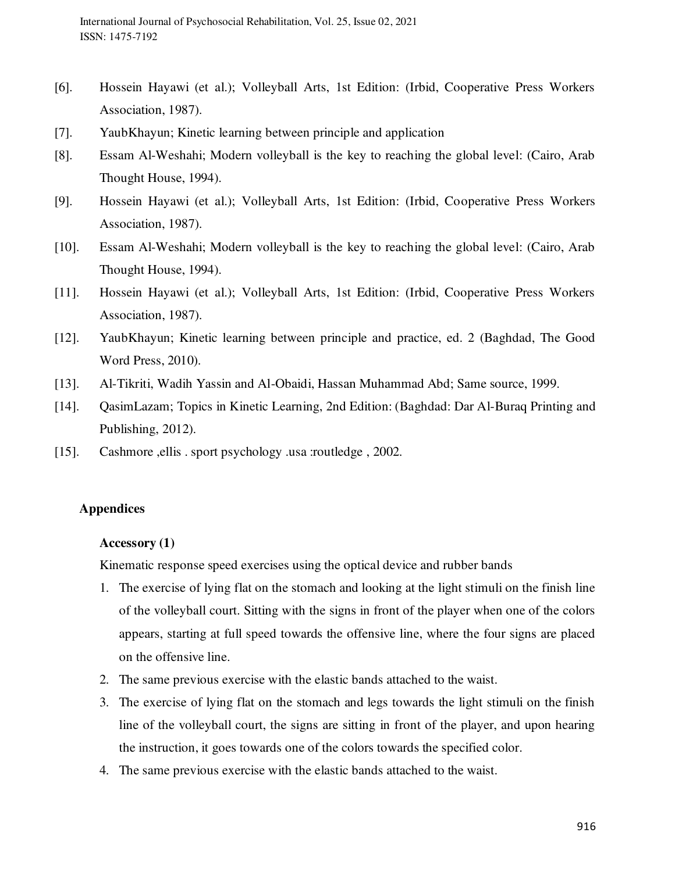- [6]. Hossein Hayawi (et al.); Volleyball Arts, 1st Edition: (Irbid, Cooperative Press Workers Association, 1987).
- [7]. YaubKhayun; Kinetic learning between principle and application
- [8]. Essam Al-Weshahi; Modern volleyball is the key to reaching the global level: (Cairo, Arab Thought House, 1994).
- [9]. Hossein Hayawi (et al.); Volleyball Arts, 1st Edition: (Irbid, Cooperative Press Workers Association, 1987).
- [10]. Essam Al-Weshahi; Modern volleyball is the key to reaching the global level: (Cairo, Arab Thought House, 1994).
- [11]. Hossein Hayawi (et al.); Volleyball Arts, 1st Edition: (Irbid, Cooperative Press Workers Association, 1987).
- [12]. YaubKhayun; Kinetic learning between principle and practice, ed. 2 (Baghdad, The Good Word Press, 2010).
- [13]. Al-Tikriti, Wadih Yassin and Al-Obaidi, Hassan Muhammad Abd; Same source, 1999.
- [14]. QasimLazam; Topics in Kinetic Learning, 2nd Edition: (Baghdad: Dar Al-Buraq Printing and Publishing, 2012).
- [15]. Cashmore ,ellis . sport psychology .usa :routledge , 2002.

## **Appendices**

#### **Accessory (1)**

Kinematic response speed exercises using the optical device and rubber bands

- 1. The exercise of lying flat on the stomach and looking at the light stimuli on the finish line of the volleyball court. Sitting with the signs in front of the player when one of the colors appears, starting at full speed towards the offensive line, where the four signs are placed on the offensive line.
- 2. The same previous exercise with the elastic bands attached to the waist.
- 3. The exercise of lying flat on the stomach and legs towards the light stimuli on the finish line of the volleyball court, the signs are sitting in front of the player, and upon hearing the instruction, it goes towards one of the colors towards the specified color.
- 4. The same previous exercise with the elastic bands attached to the waist.